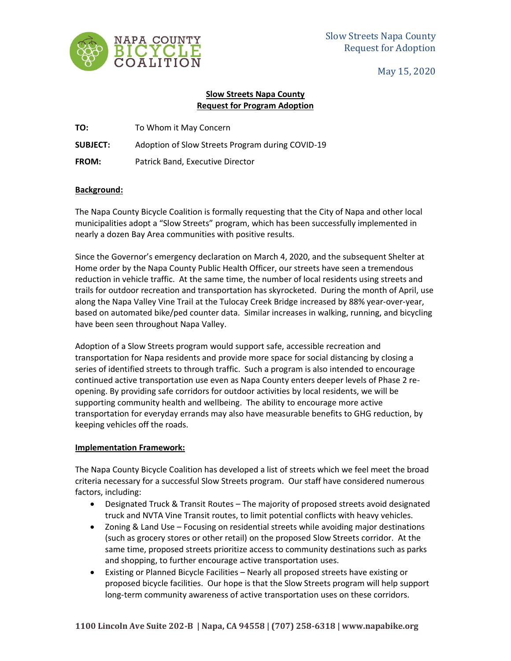

May 15, 2020

## **Slow Streets Napa County Request for Program Adoption**

**TO:** To Whom it May Concern

**SUBJECT:** Adoption of Slow Streets Program during COVID-19

**FROM:** Patrick Band, Executive Director

## **Background:**

The Napa County Bicycle Coalition is formally requesting that the City of Napa and other local municipalities adopt a "Slow Streets" program, which has been successfully implemented in nearly a dozen Bay Area communities with positive results.

Since the Governor's emergency declaration on March 4, 2020, and the subsequent Shelter at Home order by the Napa County Public Health Officer, our streets have seen a tremendous reduction in vehicle traffic. At the same time, the number of local residents using streets and trails for outdoor recreation and transportation has skyrocketed. During the month of April, use along the Napa Valley Vine Trail at the Tulocay Creek Bridge increased by 88% year-over-year, based on automated bike/ped counter data. Similar increases in walking, running, and bicycling have been seen throughout Napa Valley.

Adoption of a Slow Streets program would support safe, accessible recreation and transportation for Napa residents and provide more space for social distancing by closing a series of identified streets to through traffic. Such a program is also intended to encourage continued active transportation use even as Napa County enters deeper levels of Phase 2 reopening. By providing safe corridors for outdoor activities by local residents, we will be supporting community health and wellbeing. The ability to encourage more active transportation for everyday errands may also have measurable benefits to GHG reduction, by keeping vehicles off the roads.

## **Implementation Framework:**

The Napa County Bicycle Coalition has developed a list of streets which we feel meet the broad criteria necessary for a successful Slow Streets program. Our staff have considered numerous factors, including:

- Designated Truck & Transit Routes The majority of proposed streets avoid designated truck and NVTA Vine Transit routes, to limit potential conflicts with heavy vehicles.
- Zoning & Land Use Focusing on residential streets while avoiding major destinations (such as grocery stores or other retail) on the proposed Slow Streets corridor. At the same time, proposed streets prioritize access to community destinations such as parks and shopping, to further encourage active transportation uses.
- Existing or Planned Bicycle Facilities Nearly all proposed streets have existing or proposed bicycle facilities. Our hope is that the Slow Streets program will help support long-term community awareness of active transportation uses on these corridors.